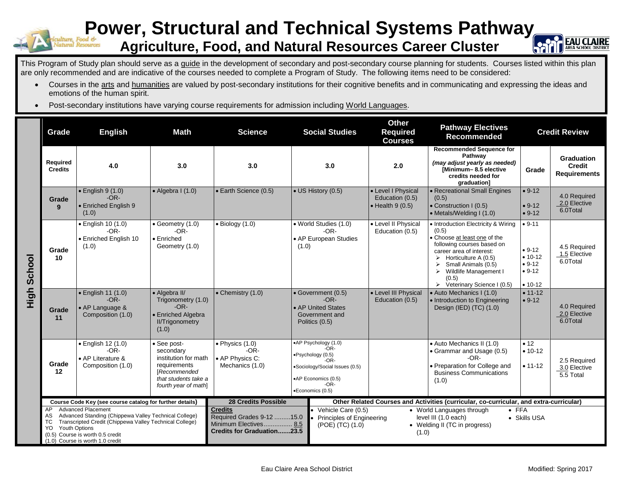## **Power, Structural and Technical Systems Pathway Agriculture, Food, and Natural Resources Career Cluster**



This Program of Study plan should serve as a guide in the development of secondary and post-secondary course planning for students. Courses listed within this plan are only recommended and are indicative of the courses needed to complete a Program of Study. The following items need to be considered:

- Courses in the arts and humanities are valued by post-secondary institutions for their cognitive benefits and in communicating and expressing the ideas and emotions of the human spirit.
- Post-secondary institutions have varying course requirements for admission including World Languages.

|                | Grade                                                                                                                                                                                                                                                                                                                                | <b>English</b>                                                         | <b>Math</b>                                                                                                                      | <b>Science</b>                                                                                                                          | <b>Social Studies</b>                                                                                                                                                                                                                                                                         | <b>Other</b><br><b>Required</b><br><b>Courses</b>                 | <b>Pathway Electives</b><br><b>Recommended</b>                                                                                                                                                                                                                                                                            |                                                                          | <b>Credit Review</b>                               |
|----------------|--------------------------------------------------------------------------------------------------------------------------------------------------------------------------------------------------------------------------------------------------------------------------------------------------------------------------------------|------------------------------------------------------------------------|----------------------------------------------------------------------------------------------------------------------------------|-----------------------------------------------------------------------------------------------------------------------------------------|-----------------------------------------------------------------------------------------------------------------------------------------------------------------------------------------------------------------------------------------------------------------------------------------------|-------------------------------------------------------------------|---------------------------------------------------------------------------------------------------------------------------------------------------------------------------------------------------------------------------------------------------------------------------------------------------------------------------|--------------------------------------------------------------------------|----------------------------------------------------|
| School<br>High | Required<br><b>Credits</b>                                                                                                                                                                                                                                                                                                           | 4.0                                                                    | 3.0                                                                                                                              | 3.0                                                                                                                                     | 3.0                                                                                                                                                                                                                                                                                           | 2.0                                                               | <b>Recommended Sequence for</b><br>Pathway<br>(may adjust yearly as needed)<br>[Minimum-8.5 elective<br>credits needed for<br>graduation]                                                                                                                                                                                 | Grade                                                                    | <b>Graduation</b><br>Credit<br><b>Requirements</b> |
|                | Grade<br>9                                                                                                                                                                                                                                                                                                                           | $\bullet$ English 9 (1.0)<br>$-OR-$<br>• Enriched English 9<br>(1.0)   | $\bullet$ Algebra I (1.0)                                                                                                        | • Earth Science (0.5)                                                                                                                   | • US History (0.5)                                                                                                                                                                                                                                                                            | • Level I Physical<br>Education (0.5)<br>$\bullet$ Health 9 (0.5) | • Recreational Small Engines<br>(0.5)<br>• Construction I (0.5)<br>• Metals/Welding I (1.0)                                                                                                                                                                                                                               | $• 9-12$<br>$• 9-12$<br>$• 9-12$                                         | 4.0 Required<br>2.0 Elective<br>6.0Total           |
|                | Grade<br>10                                                                                                                                                                                                                                                                                                                          | • English 10 (1.0)<br>-OR-<br>• Enriched English 10<br>(1.0)           | • Geometry (1.0)<br>$-OR-$<br>$\bullet$ Enriched<br>Geometry (1.0)                                                               | $\bullet$ Biology (1.0)                                                                                                                 | • World Studies (1.0)<br>$-OR-$<br>• AP European Studies<br>(1.0)                                                                                                                                                                                                                             | • Level II Physical<br>Education (0.5)                            | • Introduction Electricity & Wiring<br>(0.5)<br>• Choose at least one of the<br>following courses based on<br>career area of interest:<br>$\triangleright$ Horticulture A (0.5)<br>$\triangleright$ Small Animals (0.5)<br>$\triangleright$ Wildlife Management I<br>(0.5)<br>$\triangleright$ Veterinary Science I (0.5) | $• 9 - 11$<br>$• 9-12$<br>$• 10-12$<br>$• 9-12$<br>$• 9-12$<br>$• 10-12$ | 4.5 Required<br>1.5 Elective<br>6.0Total           |
|                | Grade<br>11                                                                                                                                                                                                                                                                                                                          | • English 11 (1.0)<br>$-OR-$<br>• AP Language &<br>Composition (1.0)   | • Algebra II/<br>Trigonometry (1.0)<br>$-OR-$<br>• Enriched Algebra<br><b>II/Trigonometry</b><br>(1.0)                           | $\bullet$ Chemistry (1.0)                                                                                                               | • Government (0.5)<br>$-OR-$<br>• AP United States<br>Government and<br>Politics (0.5)                                                                                                                                                                                                        | • Level III Physical<br>Education (0.5)                           | • Auto Mechanics I (1.0)<br>• Introduction to Engineering<br>Design (IED) (TC) (1.0)                                                                                                                                                                                                                                      | $• 11 - 12$<br>$• 9-12$                                                  | 4.0 Required<br>2.0 Elective<br>6.0Total           |
|                | Grade<br>12                                                                                                                                                                                                                                                                                                                          | · English 12 (1.0)<br>$-OR-$<br>• AP Literature &<br>Composition (1.0) | · See post-<br>secondary<br>institution for math<br>requirements<br>[Recommended<br>that students take a<br>fourth year of math] | $\bullet$ Physics (1.0)<br>$-OR-$<br>• AP Physics C:<br>Mechanics (1.0)                                                                 | •AP Psychology (1.0)<br>$-OR-$<br>·Psychology (0.5)<br>-OR-<br>•Sociology/Social Issues (0.5)<br>•AP Economics (0.5)<br>$-OR-$<br>•Economics (0.5)                                                                                                                                            |                                                                   | • Auto Mechanics II (1.0)<br>• Grammar and Usage (0.5)<br>$-OR-$<br>• Preparation for College and<br><b>Business Communications</b><br>(1.0)                                                                                                                                                                              | • 12<br>$• 10 - 12$<br>$• 11 - 12$                                       | 2.5 Required<br>3.0 Elective<br>5.5 Total          |
|                | Course Code Key (see course catalog for further details)<br><b>Advanced Placement</b><br>AP<br>Advanced Standing (Chippewa Valley Technical College)<br>AS.<br>Transcripted Credit (Chippewa Valley Technical College)<br>TC.<br><b>Youth Options</b><br>YO.<br>(0.5) Course is worth 0.5 credit<br>(1.0) Course is worth 1.0 credit |                                                                        |                                                                                                                                  | <b>28 Credits Possible</b><br><b>Credits</b><br>Required Grades 9-12 15.0<br>Minimum Electives 8.5<br><b>Credits for Graduation23.5</b> | Other Related Courses and Activities (curricular, co-curricular, and extra-curricular)<br>$\bullet$ FFA<br>Vehicle Care (0.5)<br>• World Languages through<br>Principles of Engineering<br>level III (1.0 each)<br>• Skills USA<br>(POE) (TC) (1.0)<br>• Welding II (TC in progress)<br>(1.0) |                                                                   |                                                                                                                                                                                                                                                                                                                           |                                                                          |                                                    |